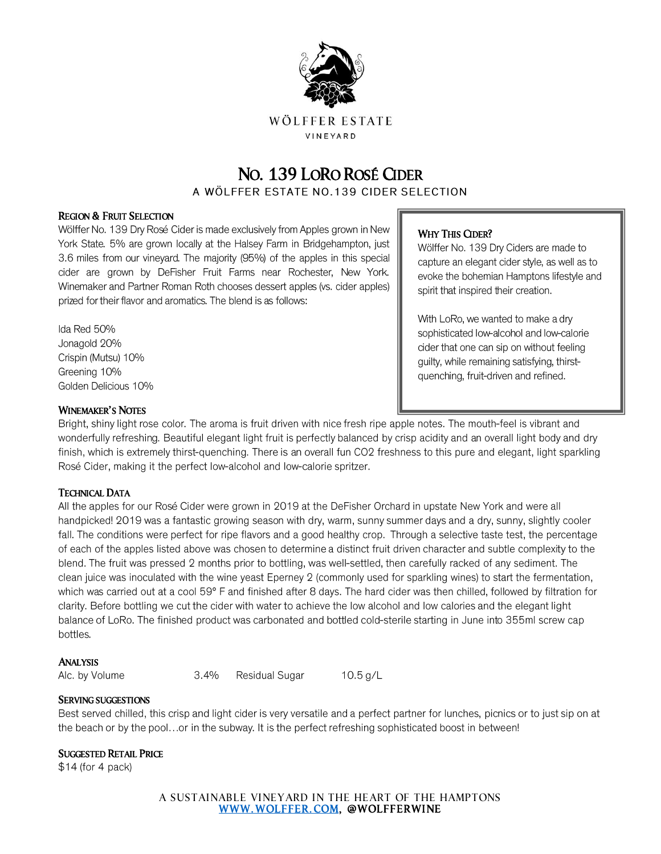

# NO. 139 LORO ROSÉ CIDER

A WÖLFFER ESTATE NO.139 CIDER SELECTION

#### REGION & FRUIT SELECTION

Wölffer No. 139 Dry Rosé Cider is made exclusively from Apples grown in New York State. 5% are grown locally at the Halsey Farm in Bridgehampton, just 3.6 miles from our vineyard. The majority (95%) of the apples in this special cider are grown by DeFisher Fruit Farms near Rochester, New York. Winemaker and Partner Roman Roth chooses dessert apples (vs. cider apples) prized for their flavor and aromatics. The blend is as follows:

Ida Red 50% Jonagold 20% Crispin (Mutsu) 10% Greening 10% Golden Delicious 10%

#### WHY THIS CIDER?

Wölffer No. 139 Dry Ciders are made to capture an elegant cider style, as well as to evoke the bohemian Hamptons lifestyle and spirit that inspired their creation.

With LoRo, we wanted to make a dry sophisticated low-alcohol and low-calorie cider that one can sip on without feeling guilty, while remaining satisfying, thirstquenching, fruit-driven and refined.

#### WINEMAKER'S NOTES

Bright, shiny light rose color. The aroma is fruit driven with nice fresh ripe apple notes. The mouth-feel is vibrant and wonderfully refreshing. Beautiful elegant light fruit is perfectly balanced by crisp acidity and an overall light body and dry finish, which is extremely thirst-quenching. There is an overall fun CO2 freshness to this pure and elegant, light sparkling Rosé Cider, making it the perfect low-alcohol and low-calorie spritzer.

#### TECHNICAL DATA

All the apples for our Rosé Cider were grown in 2019 at the DeFisher Orchard in upstate New York and were all handpicked! 2019 was a fantastic growing season with dry, warm, sunny summer days and a dry, sunny, slightly cooler fall. The conditions were perfect for ripe flavors and a good healthy crop. Through a selective taste test, the percentage of each of the apples listed above was chosen to determine a distinct fruit driven character and subtle complexity to the blend. The fruit was pressed 2 months prior to bottling, was well-settled, then carefully racked of any sediment. The clean juice was inoculated with the wine yeast Eperney 2 (commonly used for sparkling wines) to start the fermentation, which was carried out at a cool 59° F and finished after 8 days. The hard cider was then chilled, followed by filtration for clarity. Before bottling we cut the cider with water to achieve the low alcohol and low calories and the elegant light balance of LoRo. The finished product was carbonated and bottled cold-sterile starting in June into 355ml screw cap bottles.

#### ANALYSIS

Alc. by Volume

 $3.4%$ Residual Sugar

10.5  $g/L$ 

#### SERVING SUGGESTIONS

Best served chilled, this crisp and light cider is very versatile and a perfect partner for lunches, picnics or to just sip on at the beach or by the pool...or in the subway. It is the perfect refreshing sophisticated boost in between!

#### SUGGESTED RETAIL PRICE

 $$14$  (for 4 pack)

A SUSTAINABLE VINEYARD IN THE HEART OF THE HAMPTONS [WWW. WOLFFER. COM,](http://www.wolffer.com/) @WOLFFERWINE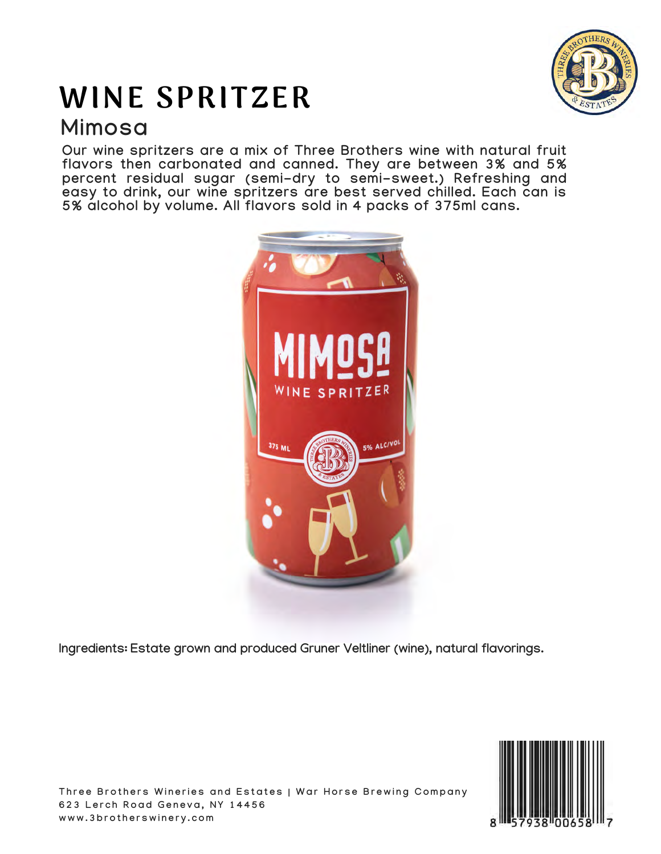# WINE SPRITZER **Mimosa**



**Our wine spritzers are a mix of Three Brothers wine with natural fruit flavors then carbonated and canned. They are between 3% and 5% percent residual sugar (semi-dry to semi-sweet.) Refreshing and easy to drink, our wine spritzers are best served chilled. Each can is 5% alcohol by volume. All flavors sold in 4 packs of 375ml cans.**



**Ingredients: Estate grown and produced Gruner Veltliner (wine), natural flavorings.**



Three Brothers Wineries and Estates | War Horse Brewing Company **6 2 3 L e r c h R o a d G e n e v a , N Y 1 4 4 5 6 w w w . 3 b r o t h e r s w i n e r y . c o m**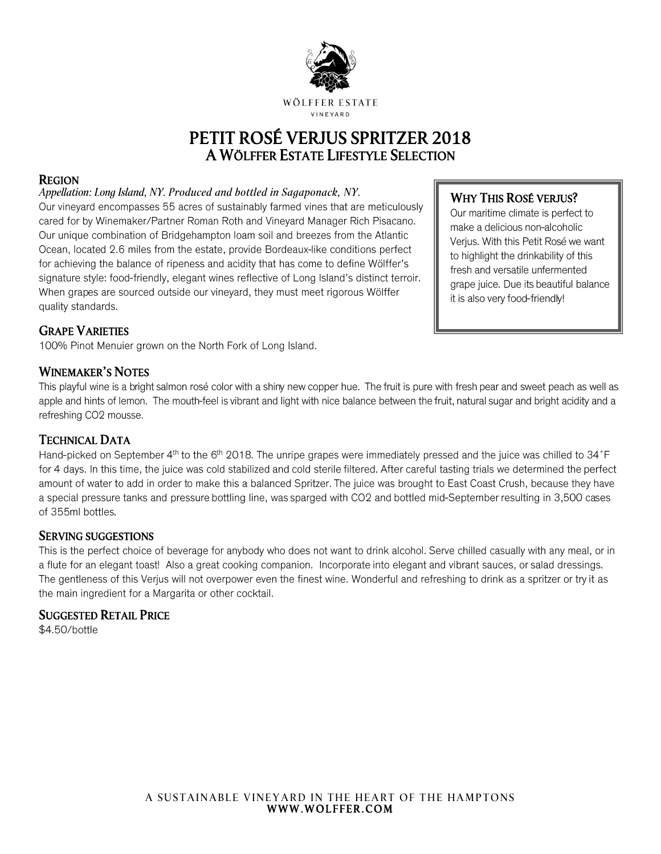

## PETIT ROSÉ VERJUS SPRITZER 2018 A WÖLFFER ESTATE LIFESTYLE SELECTION

#### REGION

#### *Appellation: Long Island, NY. Produced and bottled in Sagaponack, NY.*

Our vineyard encompasses 55 acres of sustainably farmed vines that are meticulously cared for by Winemaker/Partner Roman Roth and Vineyard Manager Rich Pisacano. Our unique combination of Bridgehampton loam soil and breezes from the Atlantic Ocean, located 2.6 miles from the estate, provide Bordeaux-like conditions perfect for achieving the balance of ripeness and acidity that has come to define Wölffer's signature style: food-friendly, elegant wines reflective of Long Island's distinct terroir. When grapes are sourced outside our vineyard, they must meet rigorous Wölffer quality standards.

## WHY THIS ROSÉ VERJUS?

Our maritime climate is perfect to make a delicious non-alcoholic Verius. With this Petit Rosé we want to highlight the drinkability of this fresh and versatile unfermented grape juice. Due its beautiful balance it is also very food-friendly!

## GRAPE VARIETIES

100% Pinot Menuier grown on the North Fork of Long Island.

#### WINEMAKER'S NOTES

This playful wine is a bright salmon rosé color with a shiny new copper hue. The fruit is pure with fresh pear and sweet peach as well as apple and hints of lemon. The mouth-feel is vibrant and light with nice balance between the fruit, natural sugar and bright acidity and a refreshing CO2 mousse.

### TECHNICAL DATA

Hand-picked on September 4th to the 6th 2018. The unripe grapes were immediately pressed and the juice was chilled to 34°F for 4 days. In this time, the juice was cold stabilized and cold sterile filtered. After careful tasting trials we determined the perfect amount of water to add in order to make this a balanced Spritzer. The juice was brought to East Coast Crush, because they have a special pressure tanks and pressure bottling line, was sparged with CO2 and bottled mid-September resulting in 3,500 cases of 355ml bottles.

#### SERVING SUGGESTIONS

This is the perfect choice of beverage for anybody who does not want to drink alcohol. Serve chilled casually with any meal, or in a flute for an elegant toast! Also a great cooking companion. Incorporate into elegant and vibrant sauces, or salad dressings. The gentleness of this Verjus will not overpower even the finest wine. Wonderful and refreshing to drink as a spritzer or try it as the main ingredient for a Margarita or other cocktail.

#### SUGGESTED RETAIL PRICE

\$4.50/bottle